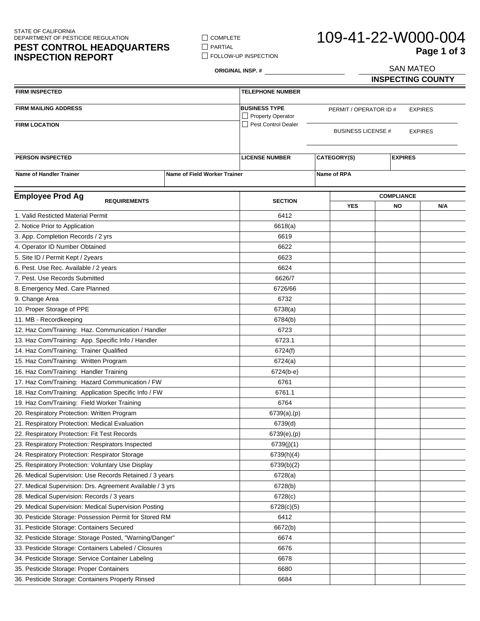STATE OF CALIFORNIA DEPARTMENT OF PESTICIDE REGULATION

## **PEST CONTROL HEADQUARTERS INSPECTION REPORT**

 $\Box$  COMPLETE  $\Box$  PARTIAL **FOLLOW-UP INSPECTION** 

# 109-41-22-W000-004 SAN MATEO **Page 1 of 3**

**ORIGINAL INSP. #**

**INSPECTING COUNTY**

| <b>FIRM INSPECTED</b>                                     |                              | <b>TELEPHONE NUMBER</b>                   |                                          |                           |                                |                |
|-----------------------------------------------------------|------------------------------|-------------------------------------------|------------------------------------------|---------------------------|--------------------------------|----------------|
| FIRM MAILING ADDRESS                                      |                              | <b>BUSINESS TYPE</b><br>Property Operator | <b>EXPIRES</b><br>PERMIT / OPERATOR ID # |                           |                                |                |
| <b>FIRM LOCATION</b>                                      |                              | Pest Control Dealer                       |                                          | <b>BUSINESS LICENSE #</b> |                                | <b>EXPIRES</b> |
|                                                           |                              |                                           |                                          |                           |                                |                |
| <b>PERSON INSPECTED</b>                                   |                              | <b>LICENSE NUMBER</b>                     | CATEGORY(S)                              |                           | <b>EXPIRES</b>                 |                |
| <b>Name of Handler Trainer</b>                            | Name of Field Worker Trainer |                                           | Name of RPA                              |                           |                                |                |
|                                                           |                              |                                           |                                          |                           |                                |                |
| <b>Employee Prod Ag</b><br><b>REQUIREMENTS</b>            |                              | <b>SECTION</b>                            |                                          | <b>YES</b>                | <b>COMPLIANCE</b><br><b>NO</b> | N/A            |
| 1. Valid Resticted Material Permit                        |                              | 6412                                      |                                          |                           |                                |                |
| 2. Notice Prior to Application                            |                              | 6618(a)                                   |                                          |                           |                                |                |
| 3. App. Completion Records / 2 yrs                        |                              | 6619                                      |                                          |                           |                                |                |
| 4. Operator ID Number Obtained                            |                              | 6622                                      |                                          |                           |                                |                |
| 5. Site ID / Permit Kept / 2years                         |                              | 6623                                      |                                          |                           |                                |                |
| 6. Pest. Use Rec. Available / 2 years                     |                              | 6624                                      |                                          |                           |                                |                |
| 7. Pest. Use Records Submitted                            |                              | 6626/7                                    |                                          |                           |                                |                |
| 8. Emergency Med. Care Planned                            |                              | 6726/66                                   |                                          |                           |                                |                |
| 9. Change Area                                            |                              | 6732                                      |                                          |                           |                                |                |
| 10. Proper Storage of PPE                                 |                              | 6738(a)                                   |                                          |                           |                                |                |
| 11. MB - Recordkeeping                                    |                              | 6784(b)                                   |                                          |                           |                                |                |
| 12. Haz Com/Training: Haz. Communication / Handler        |                              | 6723                                      |                                          |                           |                                |                |
| 13. Haz Com/Training: App. Specific Info / Handler        |                              | 6723.1                                    |                                          |                           |                                |                |
| 14. Haz Com/Training: Trainer Qualified                   |                              | 6724(f)                                   |                                          |                           |                                |                |
| 15. Haz Com/Training: Written Program                     |                              | 6724(a)                                   |                                          |                           |                                |                |
| 16. Haz Com/Training: Handler Training                    |                              | $6724(b-e)$                               |                                          |                           |                                |                |
| 17. Haz Com/Training: Hazard Communication / FW           |                              | 6761                                      |                                          |                           |                                |                |
| 18. Haz Com/Training: Application Specific Info / FW      |                              | 6761.1                                    |                                          |                           |                                |                |
| 19. Haz Com/Training: Field Worker Training               |                              | 6764                                      |                                          |                           |                                |                |
| 20. Respiratory Protection: Written Program               |                              | 6739(a),(p)                               |                                          |                           |                                |                |
| 21. Respiratory Protection: Medical Evaluation            |                              | 6739(d)                                   |                                          |                           |                                |                |
| 22. Respiratory Protection: Fit Test Records              |                              | 6739(e),(p)                               |                                          |                           |                                |                |
| 23. Respiratory Protection: Respirators Inspected         |                              | 6739(j)(1)                                |                                          |                           |                                |                |
| 24. Respiratory Protection: Respirator Storage            |                              | 6739(h)(4)                                |                                          |                           |                                |                |
| 25. Respiratory Protection: Voluntary Use Display         |                              | 6739(b)(2)                                |                                          |                           |                                |                |
| 26. Medical Supervision: Use Records Retained / 3 years   |                              | 6728(a)                                   |                                          |                           |                                |                |
| 27. Medical Supervision: Drs. Agreement Available / 3 yrs |                              | 6728(b)                                   |                                          |                           |                                |                |
| 28. Medical Supervision: Records / 3 years                |                              | 6728(c)                                   |                                          |                           |                                |                |
| 29. Medical Supervision: Medical Supervision Posting      |                              | 6728(c)(5)                                |                                          |                           |                                |                |
| 30. Pesticide Storage: Possession Permit for Stored RM    |                              | 6412                                      |                                          |                           |                                |                |
| 31. Pesticide Storage: Containers Secured                 |                              | 6672(b)                                   |                                          |                           |                                |                |
| 32. Pesticide Storage: Storage Posted, "Warning/Danger"   |                              | 6674                                      |                                          |                           |                                |                |
| 33. Pesticide Storage: Containers Labeled / Closures      |                              | 6676                                      |                                          |                           |                                |                |
| 34. Pesticide Storage: Service Container Labeling         |                              | 6678                                      |                                          |                           |                                |                |
| 35. Pesticide Storage: Proper Containers                  |                              | 6680                                      |                                          |                           |                                |                |
| 36. Pesticide Storage: Containers Properly Rinsed         |                              | 6684                                      |                                          |                           |                                |                |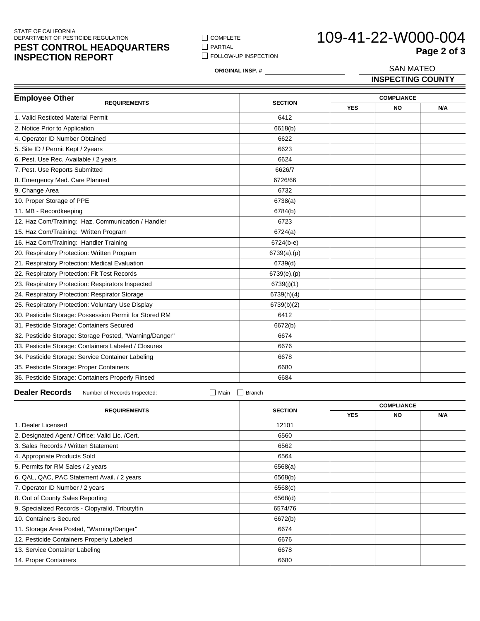#### STATE OF CALIFORNIA DEPARTMENT OF PESTICIDE REGULATION

## **PEST CONTROL HEADQUARTERS INSPECTION REPORT**

 $\Box$  COMPLETE  $\hfill\Box$ <br> <br> PARTIAL **FOLLOW-UP INSPECTION** 

# 109-41-22-W000-004 SAN MATEO **Page 2 of 3**

**ORIGINAL INSP. #**

**INSPECTING COUNTY**

| <b>Employee Other</b><br><b>REQUIREMENTS</b>            | <b>SECTION</b> |            | <b>COMPLIANCE</b> |     |  |
|---------------------------------------------------------|----------------|------------|-------------------|-----|--|
|                                                         |                | <b>YES</b> | <b>NO</b>         | N/A |  |
| 1. Valid Resticted Material Permit                      | 6412           |            |                   |     |  |
| 2. Notice Prior to Application                          | 6618(b)        |            |                   |     |  |
| 4. Operator ID Number Obtained                          | 6622           |            |                   |     |  |
| 5. Site ID / Permit Kept / 2years                       | 6623           |            |                   |     |  |
| 6. Pest. Use Rec. Available / 2 years                   | 6624           |            |                   |     |  |
| 7. Pest. Use Reports Submitted                          | 6626/7         |            |                   |     |  |
| 8. Emergency Med. Care Planned                          | 6726/66        |            |                   |     |  |
| 9. Change Area                                          | 6732           |            |                   |     |  |
| 10. Proper Storage of PPE                               | 6738(a)        |            |                   |     |  |
| 11. MB - Recordkeeping                                  | 6784(b)        |            |                   |     |  |
| 12. Haz Com/Training: Haz. Communication / Handler      | 6723           |            |                   |     |  |
| 15. Haz Com/Training: Written Program                   | 6724(a)        |            |                   |     |  |
| 16. Haz Com/Training: Handler Training                  | $6724(b-e)$    |            |                   |     |  |
| 20. Respiratory Protection: Written Program             | 6739(a),(p)    |            |                   |     |  |
| 21. Respiratory Protection: Medical Evaluation          | 6739(d)        |            |                   |     |  |
| 22. Respiratory Protection: Fit Test Records            | 6739(e),(p)    |            |                   |     |  |
| 23. Respiratory Protection: Respirators Inspected       | 6739(j)(1)     |            |                   |     |  |
| 24. Respiratory Protection: Respirator Storage          | 6739(h)(4)     |            |                   |     |  |
| 25. Respiratory Protection: Voluntary Use Display       | 6739(b)(2)     |            |                   |     |  |
| 30. Pesticide Storage: Possession Permit for Stored RM  | 6412           |            |                   |     |  |
| 31. Pesticide Storage: Containers Secured               | 6672(b)        |            |                   |     |  |
| 32. Pesticide Storage: Storage Posted, "Warning/Danger" | 6674           |            |                   |     |  |
| 33. Pesticide Storage: Containers Labeled / Closures    | 6676           |            |                   |     |  |
| 34. Pesticide Storage: Service Container Labeling       | 6678           |            |                   |     |  |
| 35. Pesticide Storage: Proper Containers                | 6680           |            |                   |     |  |
| 36. Pesticide Storage: Containers Properly Rinsed       | 6684           |            |                   |     |  |

### **Dealer Records** Number of Records Inspected: Main Branch

|                                                  |                | <b>COMPLIANCE</b> |     |     |
|--------------------------------------------------|----------------|-------------------|-----|-----|
| <b>REQUIREMENTS</b>                              | <b>SECTION</b> | <b>YES</b>        | NO. | N/A |
| 1. Dealer Licensed                               | 12101          |                   |     |     |
| 2. Designated Agent / Office; Valid Lic. / Cert. | 6560           |                   |     |     |
| 3. Sales Records / Written Statement             | 6562           |                   |     |     |
| 4. Appropriate Products Sold                     | 6564           |                   |     |     |
| 5. Permits for RM Sales / 2 years                | 6568(a)        |                   |     |     |
| 6. QAL, QAC, PAC Statement Avail. / 2 years      | 6568(b)        |                   |     |     |
| 7. Operator ID Number / 2 years                  | 6568(c)        |                   |     |     |
| 8. Out of County Sales Reporting                 | 6568(d)        |                   |     |     |
| 9. Specialized Records - Clopyralid, Tributyltin | 6574/76        |                   |     |     |
| 10. Containers Secured                           | 6672(b)        |                   |     |     |
| 11. Storage Area Posted, "Warning/Danger"        | 6674           |                   |     |     |
| 12. Pesticide Containers Properly Labeled        | 6676           |                   |     |     |
| 13. Service Container Labeling                   | 6678           |                   |     |     |
| 14. Proper Containers                            | 6680           |                   |     |     |